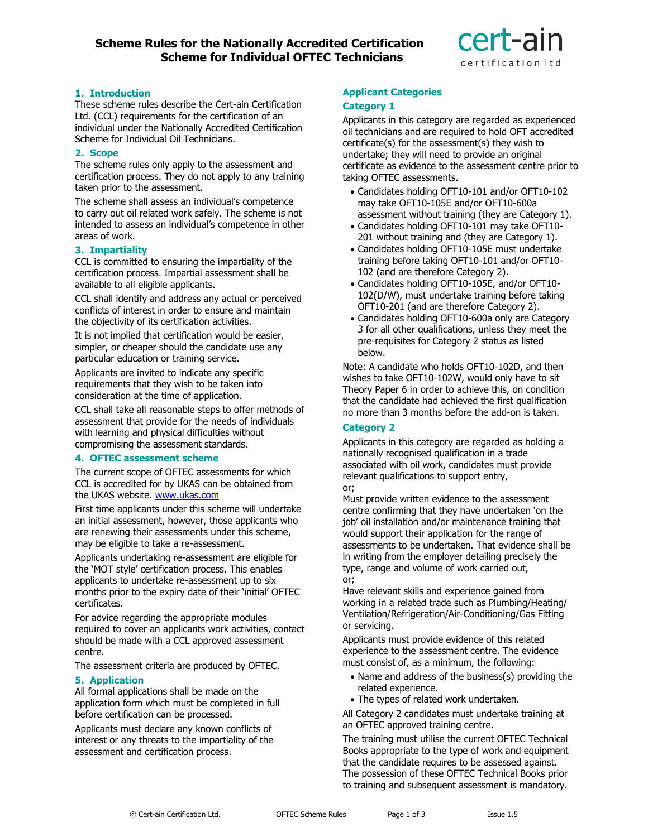# **Scheme Rules for the Nationally Accredited Certification Scheme for Individual OFTEC Technicians**



# **1. Introduction**

These scheme rules describe the Cert-ain Certification Ltd. (CCL) requirements for the certification of an individual under the Nationally Accredited Certification Scheme for Individual Oil Technicians.

## **2. Scope**

The scheme rules only apply to the assessment and certification process. They do not apply to any training taken prior to the assessment.

The scheme shall assess an individual's competence to carry out oil related work safely. The scheme is not intended to assess an individual's competence in other areas of work.

# **3. Impartiality**

CCL is committed to ensuring the impartiality of the certification process. Impartial assessment shall be available to all eligible applicants.

CCL shall identify and address any actual or perceived conflicts of interest in order to ensure and maintain the objectivity of its certification activities.

It is not implied that certification would be easier, simpler, or cheaper should the candidate use any particular education or training service.

Applicants are invited to indicate any specific requirements that they wish to be taken into consideration at the time of application.

CCL shall take all reasonable steps to offer methods of assessment that provide for the needs of individuals with learning and physical difficulties without compromising the assessment standards.

## **4. OFTEC assessment scheme**

The current scope of OFTEC assessments for which CCL is accredited for by UKAS can be obtained from the UKAS website. [www.ukas.com](http://www.ukas.com/)

First time applicants under this scheme will undertake an initial assessment, however, those applicants who are renewing their assessments under this scheme, may be eligible to take a re-assessment.

Applicants undertaking re-assessment are eligible for the 'MOT style' certification process. This enables applicants to undertake re-assessment up to six months prior to the expiry date of their 'initial' OFTEC certificates.

For advice regarding the appropriate modules required to cover an applicants work activities, contact should be made with a CCL approved assessment centre.

The assessment criteria are produced by OFTEC.

# **5. Application**

All formal applications shall be made on the application form which must be completed in full before certification can be processed.

Applicants must declare any known conflicts of interest or any threats to the impartiality of the assessment and certification process.

## **Applicant Categories Category 1**

Applicants in this category are regarded as experienced oil technicians and are required to hold OFT accredited certificate(s) for the assessment(s) they wish to undertake; they will need to provide an original certificate as evidence to the assessment centre prior to taking OFTEC assessments.

- Candidates holding OFT10-101 and/or OFT10-102 may take OFT10-105E and/or OFT10-600a assessment without training (they are Category 1).
- Candidates holding OFT10-101 may take OFT10- 201 without training and (they are Category 1).
- Candidates holding OFT10-105E must undertake training before taking OFT10-101 and/or OFT10- 102 (and are therefore Category 2).
- Candidates holding OFT10-105E, and/or OFT10- 102(D/W), must undertake training before taking OFT10-201 (and are therefore Category 2).
- Candidates holding OFT10-600a only are Category 3 for all other qualifications, unless they meet the pre-requisites for Category 2 status as listed below.

Note: A candidate who holds OFT10-102D, and then wishes to take OFT10-102W, would only have to sit Theory Paper 6 in order to achieve this, on condition that the candidate had achieved the first qualification no more than 3 months before the add-on is taken.

# **Category 2**

Applicants in this category are regarded as holding a nationally recognised qualification in a trade associated with oil work, candidates must provide relevant qualifications to support entry, or;

Must provide written evidence to the assessment centre confirming that they have undertaken 'on the job' oil installation and/or maintenance training that would support their application for the range of assessments to be undertaken. That evidence shall be in writing from the employer detailing precisely the type, range and volume of work carried out, or;

Have relevant skills and experience gained from working in a related trade such as Plumbing/Heating/ Ventilation/Refrigeration/Air-Conditioning/Gas Fitting or servicing.

Applicants must provide evidence of this related experience to the assessment centre. The evidence must consist of, as a minimum, the following:

- Name and address of the business(s) providing the related experience.
- The types of related work undertaken.

All Category 2 candidates must undertake training at an OFTEC approved training centre.

The training must utilise the current OFTEC Technical Books appropriate to the type of work and equipment that the candidate requires to be assessed against. The possession of these OFTEC Technical Books prior to training and subsequent assessment is mandatory.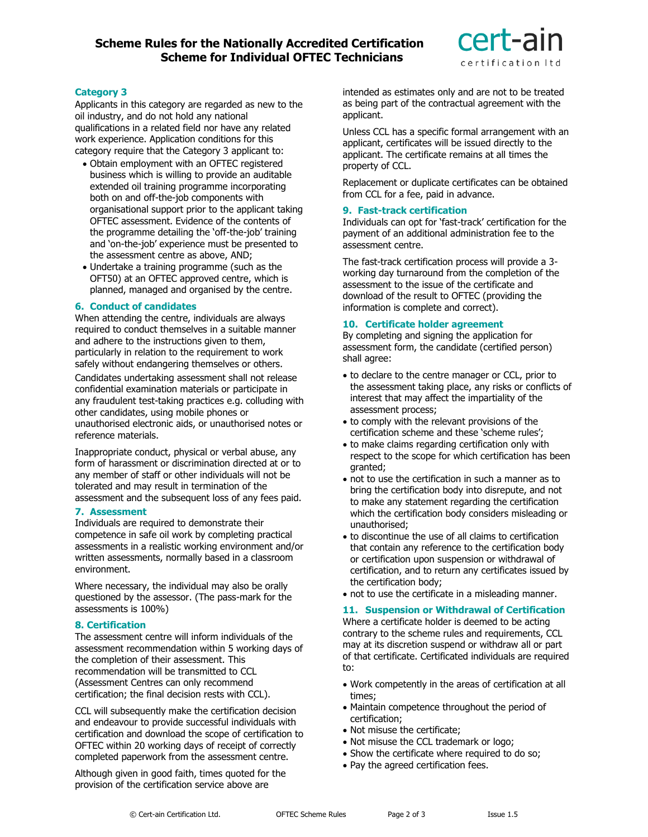

## **Category 3**

Applicants in this category are regarded as new to the oil industry, and do not hold any national qualifications in a related field nor have any related work experience. Application conditions for this category require that the Category 3 applicant to:

- Obtain employment with an OFTEC registered business which is willing to provide an auditable extended oil training programme incorporating both on and off-the-job components with organisational support prior to the applicant taking OFTEC assessment. Evidence of the contents of the programme detailing the 'off-the-job' training and 'on-the-job' experience must be presented to the assessment centre as above, AND;
- Undertake a training programme (such as the OFT50) at an OFTEC approved centre, which is planned, managed and organised by the centre.

## **6. Conduct of candidates**

When attending the centre, individuals are always required to conduct themselves in a suitable manner and adhere to the instructions given to them, particularly in relation to the requirement to work safely without endangering themselves or others.

Candidates undertaking assessment shall not release confidential examination materials or participate in any fraudulent test-taking practices e.g. colluding with other candidates, using mobile phones or unauthorised electronic aids, or unauthorised notes or reference materials.

Inappropriate conduct, physical or verbal abuse, any form of harassment or discrimination directed at or to any member of staff or other individuals will not be tolerated and may result in termination of the assessment and the subsequent loss of any fees paid.

# **7. Assessment**

Individuals are required to demonstrate their competence in safe oil work by completing practical assessments in a realistic working environment and/or written assessments, normally based in a classroom environment.

Where necessary, the individual may also be orally questioned by the assessor. (The pass-mark for the assessments is 100%)

## **8. Certification**

The assessment centre will inform individuals of the assessment recommendation within 5 working days of the completion of their assessment. This recommendation will be transmitted to CCL (Assessment Centres can only recommend certification; the final decision rests with CCL).

CCL will subsequently make the certification decision and endeavour to provide successful individuals with certification and download the scope of certification to OFTEC within 20 working days of receipt of correctly completed paperwork from the assessment centre.

Although given in good faith, times quoted for the provision of the certification service above are

intended as estimates only and are not to be treated as being part of the contractual agreement with the applicant.

Unless CCL has a specific formal arrangement with an applicant, certificates will be issued directly to the applicant. The certificate remains at all times the property of CCL.

Replacement or duplicate certificates can be obtained from CCL for a fee, paid in advance.

# **9. Fast-track certification**

Individuals can opt for 'fast-track' certification for the payment of an additional administration fee to the assessment centre.

The fast-track certification process will provide a 3 working day turnaround from the completion of the assessment to the issue of the certificate and download of the result to OFTEC (providing the information is complete and correct).

## **10. Certificate holder agreement**

By completing and signing the application for assessment form, the candidate (certified person) shall agree:

- to declare to the centre manager or CCL, prior to the assessment taking place, any risks or conflicts of interest that may affect the impartiality of the assessment process;
- to comply with the relevant provisions of the certification scheme and these 'scheme rules';
- to make claims regarding certification only with respect to the scope for which certification has been granted;
- not to use the certification in such a manner as to bring the certification body into disrepute, and not to make any statement regarding the certification which the certification body considers misleading or unauthorised;
- to discontinue the use of all claims to certification that contain any reference to the certification body or certification upon suspension or withdrawal of certification, and to return any certificates issued by the certification body;
- not to use the certificate in a misleading manner.

## **11. Suspension or Withdrawal of Certification**

Where a certificate holder is deemed to be acting contrary to the scheme rules and requirements, CCL may at its discretion suspend or withdraw all or part of that certificate. Certificated individuals are required to:

- Work competently in the areas of certification at all times;
- Maintain competence throughout the period of certification;
- Not misuse the certificate;
- Not misuse the CCL trademark or logo;
- Show the certificate where required to do so;
- Pay the agreed certification fees.